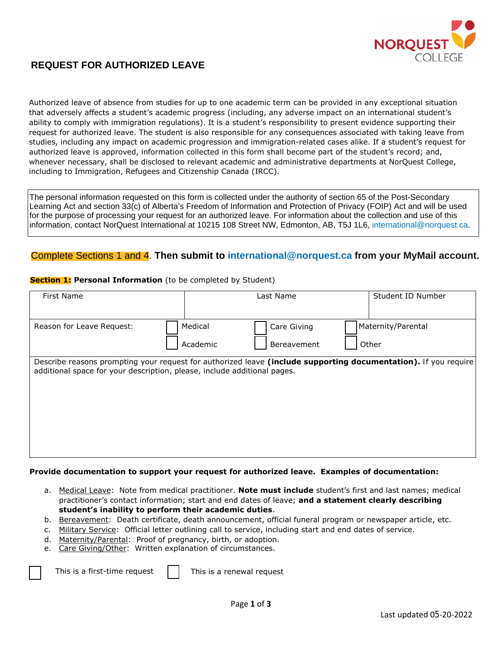

# **REQUEST FOR AUTHORIZED LEAVE**

Authorized leave of absence from studies for up to one academic term can be provided in any exceptional situation that adversely affects a student's academic progress (including, any adverse impact on an international student's ability to comply with immigration regulations). It is a student's responsibility to present evidence supporting their request for authorized leave. The student is also responsible for any consequences associated with taking leave from studies, including any impact on academic progression and immigration-related cases alike. If a student's request for authorized leave is approved, information collected in this form shall become part of the student's record; and, whenever necessary, shall be disclosed to relevant academic and administrative departments at NorQuest College, including to Immigration, Refugees and Citizenship Canada (IRCC).

The personal information requested on this form is collected under the authority of section 65 of the Post-Secondary Learning Act and section 33(c) of Alberta's Freedom of Information and Protection of Privacy (FOIP) Act and will be used for the purpose of processing your request for an authorized leave. For information about the collection and use of this information, contact NorQuest International at 10215 108 Street NW, Edmonton, AB, T5J 1L6, international@norquest.ca.

# Complete Sections 1 and 4. **Then submit to int[ernational@norquest.ca](mailto:international@norquest.ca) from your MyMail account.**

### **Section 1: Personal Information** (to be completed by Student)

| First Name                                                               | Student ID Number<br>Last Name                                                                                  |                             |
|--------------------------------------------------------------------------|-----------------------------------------------------------------------------------------------------------------|-----------------------------|
| Reason for Leave Request:                                                | Medical<br>Care Giving<br>Academic<br>Bereavement                                                               | Maternity/Parental<br>Other |
| additional space for your description, please, include additional pages. | Describe reasons prompting your request for authorized leave (include supporting documentation). If you require |                             |

### **Provide documentation to support your request for authorized leave. Examples of documentation:**

- a. Medical Leave: Note from medical practitioner. **Note must include** student's first and last names; medical practitioner's contact information; start and end dates of leave; **and a statement clearly describing student's inability to perform their academic duties**.
- b. Bereavement: Death certificate, death announcement, official funeral program or newspaper article, etc.
- c. Military Service: Official letter outlining call to service, including start and end dates of service.
- d. Maternity/Parental: Proof of pregnancy, birth, or adoption.
- e. Care Giving/Other: Written explanation of circumstances.

This is a first-time request

 $\overline{a}$ 

This is a renewal request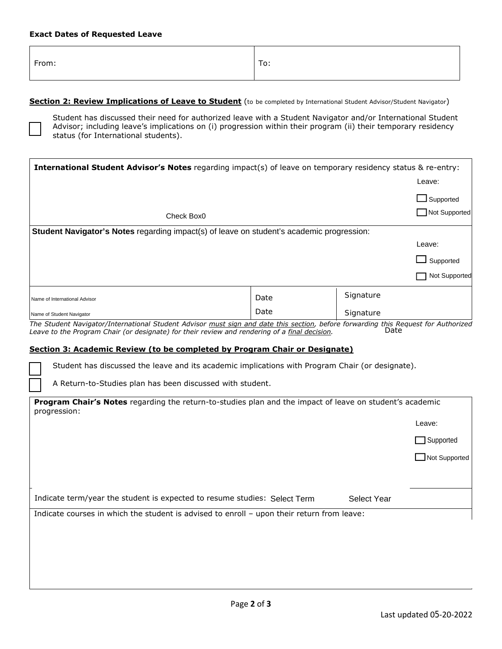#### **Exact Dates of Requested Leave**

| From: | To: |
|-------|-----|
|-------|-----|

#### **Section 2: Review Implications of Leave to Student** (to be completed by International Student Advisor/Student Navigator)



Student has discussed their need for authorized leave with a Student Navigator and/or International Student Advisor; including leave's implications on (i) progression within their program (ii) their temporary residency status (for International students).

| <b>International Student Advisor's Notes</b> regarding impact(s) of leave on temporary residency status & re-entry:                                                                                                                 |      |           |                                 |
|-------------------------------------------------------------------------------------------------------------------------------------------------------------------------------------------------------------------------------------|------|-----------|---------------------------------|
|                                                                                                                                                                                                                                     |      |           | Leave:                          |
|                                                                                                                                                                                                                                     |      |           | $\mathsf{\mathsf{J}}$ Supported |
| Check Box0                                                                                                                                                                                                                          |      |           | Not Supported                   |
| Student Navigator's Notes regarding impact(s) of leave on student's academic progression:                                                                                                                                           |      |           |                                 |
|                                                                                                                                                                                                                                     |      |           | Leave:                          |
|                                                                                                                                                                                                                                     |      |           | Supported                       |
|                                                                                                                                                                                                                                     |      |           | Not Supported                   |
| Name of International Advisor                                                                                                                                                                                                       | Date | Signature |                                 |
| Name of Student Navigator                                                                                                                                                                                                           | Date | Signature |                                 |
| The Student Navigator/International Student Advisor must sign and date this section, before forwarding this Request for Authorized<br>Leave to the Program Chair (or designate) for their review and rendering of a final decision. |      | Date      |                                 |
| <b>Section 3: Academic Review (to be completed by Program Chair or Designate)</b>                                                                                                                                                   |      |           |                                 |

Student has discussed the leave and its academic implications with Program Chair (or designate).

A Return-to-Studies plan has been discussed with student.

| Program Chair's Notes regarding the return-to-studies plan and the impact of leave on student's academic<br>progression: |             |                  |
|--------------------------------------------------------------------------------------------------------------------------|-------------|------------------|
|                                                                                                                          |             | Leave:           |
|                                                                                                                          |             | $\Box$ Supported |
|                                                                                                                          |             | Not Supported    |
|                                                                                                                          |             |                  |
| Indicate term/year the student is expected to resume studies: Select Term                                                | Select Year |                  |
| Indicate courses in which the student is advised to enroll - upon their return from leave:                               |             |                  |
|                                                                                                                          |             |                  |